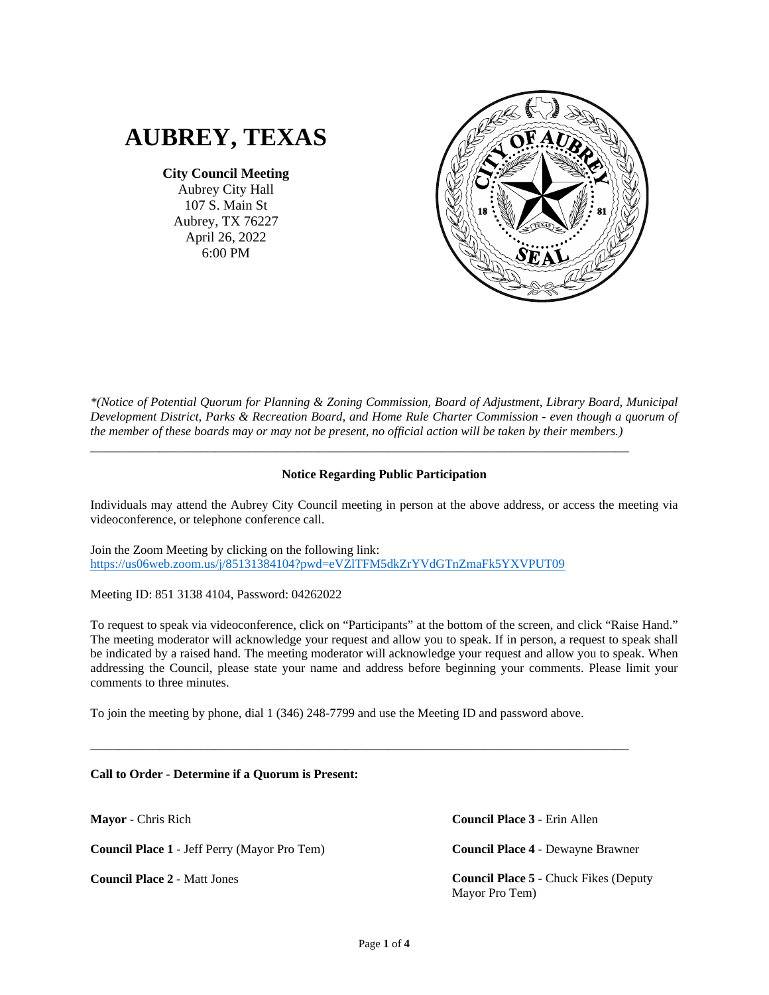

**City Council Meeting**

Aubrey City Hall 107 S. Main St Aubrey, TX 76227 April 26, 2022 6:00 PM



*\*(Notice of Potential Quorum for Planning & Zoning Commission, Board of Adjustment, Library Board, Municipal Development District, Parks & Recreation Board, and Home Rule Charter Commission - even though a quorum of the member of these boards may or may not be present, no official action will be taken by their members.)*

## **Notice Regarding Public Participation**

\_\_\_\_\_\_\_\_\_\_\_\_\_\_\_\_\_\_\_\_\_\_\_\_\_\_\_\_\_\_\_\_\_\_\_\_\_\_\_\_\_\_\_\_\_\_\_\_\_\_\_\_\_\_\_\_\_\_\_\_\_\_\_\_\_\_\_\_\_\_\_\_\_\_\_\_\_\_

Individuals may attend the Aubrey City Council meeting in person at the above address, or access the meeting via videoconference, or telephone conference call.

Join the Zoom Meeting by clicking on the following link: <https://us06web.zoom.us/j/85131384104?pwd=eVZlTFM5dkZrYVdGTnZmaFk5YXVPUT09>

Meeting ID: 851 3138 4104, Password: 04262022

To request to speak via videoconference, click on "Participants" at the bottom of the screen, and click "Raise Hand." The meeting moderator will acknowledge your request and allow you to speak. If in person, a request to speak shall be indicated by a raised hand. The meeting moderator will acknowledge your request and allow you to speak. When addressing the Council, please state your name and address before beginning your comments. Please limit your comments to three minutes.

To join the meeting by phone, dial 1 (346) 248-7799 and use the Meeting ID and password above.

\_\_\_\_\_\_\_\_\_\_\_\_\_\_\_\_\_\_\_\_\_\_\_\_\_\_\_\_\_\_\_\_\_\_\_\_\_\_\_\_\_\_\_\_\_\_\_\_\_\_\_\_\_\_\_\_\_\_\_\_\_\_\_\_\_\_\_\_\_\_\_\_\_\_\_\_\_\_

**Call to Order - Determine if a Quorum is Present:**

**Mayor** - Chris Rich

**Council Place 1** - Jeff Perry (Mayor Pro Tem)

**Council Place 2** - Matt Jones

**Council Place 3** - Erin Allen

**Council Place 4** - Dewayne Brawner

**Council Place 5** - Chuck Fikes (Deputy Mayor Pro Tem)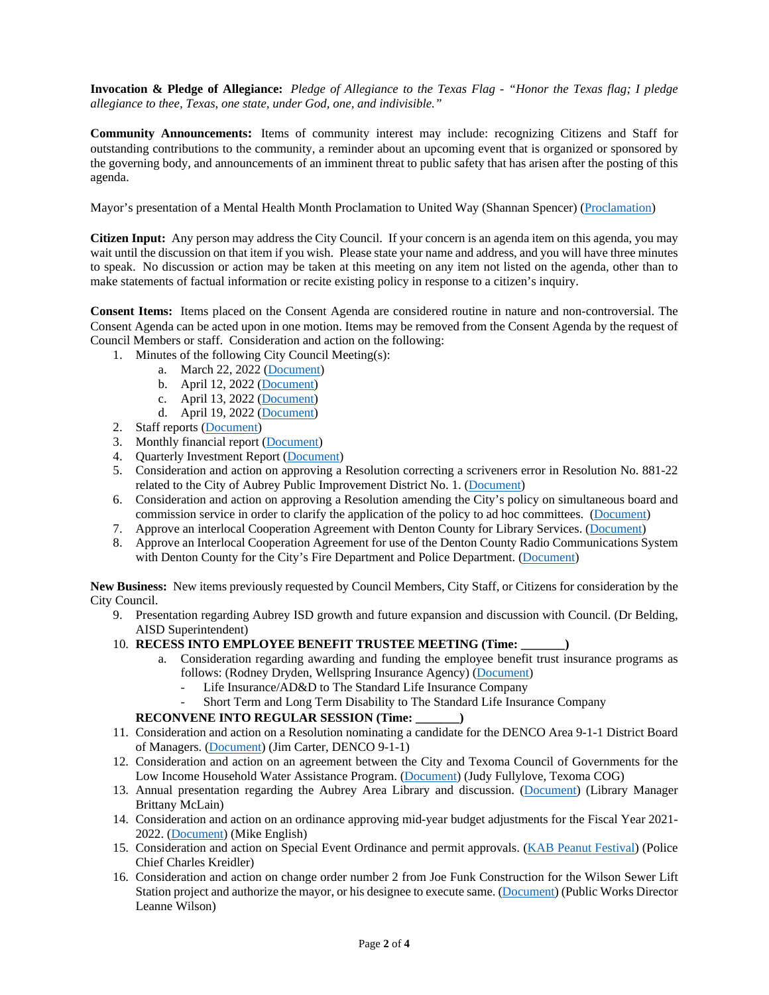**Invocation & Pledge of Allegiance:** *Pledge of Allegiance to the Texas Flag - "Honor the Texas flag; I pledge allegiance to thee, Texas, one state, under God, one, and indivisible."*

**Community Announcements:** Items of community interest may include: recognizing Citizens and Staff for outstanding contributions to the community, a reminder about an upcoming event that is organized or sponsored by the governing body, and announcements of an imminent threat to public safety that has arisen after the posting of this agenda.

Mayor's presentation of a Mental Health Month Proclamation to United Way (Shannan Spencer) [\(Proclamation\)](https://www.dropbox.com/s/xtmo9pywr9mfz4b/0%20Proclamation.pdf?dl=0)

**Citizen Input:** Any person may address the City Council. If your concern is an agenda item on this agenda, you may wait until the discussion on that item if you wish. Please state your name and address, and you will have three minutes to speak. No discussion or action may be taken at this meeting on any item not listed on the agenda, other than to make statements of factual information or recite existing policy in response to a citizen's inquiry.

**Consent Items:** Items placed on the Consent Agenda are considered routine in nature and non-controversial. The Consent Agenda can be acted upon in one motion. Items may be removed from the Consent Agenda by the request of Council Members or staff. Consideration and action on the following:

- 1. Minutes of the following City Council Meeting(s):
	- a. March 22, 2022 [\(Document\)](https://www.dropbox.com/s/mhuhxskilblvzt7/1%202022_03_22%20Minutes.pdf?dl=0)
	- b. April 12, 2022 [\(Document\)](https://www.dropbox.com/s/i8uausquot1csn3/1%202022_04_12%20Special%20Meeting%20Minutes.pdf?dl=0)
	- c. April 13, 2022 [\(Document\)](https://www.dropbox.com/s/et40j8zkngslmto/1%202022_04_13%20Special%20Meeting%20Minutes.pdf?dl=0)
	- d. April 19, 2022 [\(Document\)](https://www.dropbox.com/s/2thy7j47wjertg7/1%202022_04_19%20Special%20Meeting%20Minutes.pdf?dl=0)
- 2. Staff reports [\(Document\)](https://www.dropbox.com/s/5qf3k1chp0453hu/2%20Staff%20Reports.pdf?dl=0)
- 3. Monthly financial report [\(Document\)](https://www.dropbox.com/s/w9vhcx8znslwhs6/3%20Financials.pdf?dl=0)
- 4. Quarterly Investment Report [\(Document\)](https://www.dropbox.com/s/qd7m2h33hbczdzw/4%20Quarterly%20Investment%20Report.pdf?dl=0)
- 5. Consideration and action on approving a Resolution correcting a scriveners error in Resolution No. 881-22 related to the City of Aubrey Public Improvement District No. 1. [\(Document\)](https://www.dropbox.com/s/eqcrxedsq58w3bj/5%20RES%20887-22%20Amending%20Resolution%20881-22%20PID%20No%201.pdf?dl=0)
- 6. Consideration and action on approving a Resolution amending the City's policy on simultaneous board and commission service in order to clarify the application of the policy to ad hoc committees. [\(Document\)](https://www.dropbox.com/s/ujyhpk39glfmjjq/6%20RES%20885-22%20Amending%20850-21%20and%20reaffirming%20appointment%20of%20Charter%20Commission.pdf?dl=0)
- 7. Approve an interlocal Cooperation Agreement with Denton County for Library Services. [\(Document\)](https://www.dropbox.com/s/ab3wc32ynd192re/7%20Denton%20County%20Library%20ILA%2021-22.pdf?dl=0)
- 8. Approve an Interlocal Cooperation Agreement for use of the Denton County Radio Communications System with Denton County for the City's Fire Department and Police Department. [\(Document\)](https://www.dropbox.com/s/vavd3k4arb5a6nj/8%202021-22%20ILA%20Denton%20County%20Communications%20Use.pdf?dl=0)

**New Business:** New items previously requested by Council Members, City Staff, or Citizens for consideration by the City Council.

- 9. Presentation regarding Aubrey ISD growth and future expansion and discussion with Council. (Dr Belding, AISD Superintendent)
- 10. **RECESS INTO EMPLOYEE BENEFIT TRUSTEE MEETING (Time: \_\_\_\_\_\_\_)**
	- a. Consideration regarding awarding and funding the employee benefit trust insurance programs as follows: (Rodney Dryden, Wellspring Insurance Agency) [\(Document\)](https://www.dropbox.com/s/t3fh9ssqnuxlvlp/10%20Benefit%20Trust.pdf?dl=0)
		- Life Insurance/AD&D to The Standard Life Insurance Company
		- Short Term and Long Term Disability to The Standard Life Insurance Company

### **RECONVENE INTO REGULAR SESSION (Time: \_\_\_\_\_\_\_)**

- 11. Consideration and action on a Resolution nominating a candidate for the DENCO Area 9-1-1 District Board of Managers. [\(Document\)](https://www.dropbox.com/s/chdoq4quz8nyk35/11%20RES%20883-22%20Denco%20Nomination.pdf?dl=0) (Jim Carter, DENCO 9-1-1)
- 12. Consideration and action on an agreement between the City and Texoma Council of Governments for the Low Income Household Water Assistance Program. [\(Document\)](https://www.dropbox.com/s/d0gotv5bfpsrzhq/12%20LIHWAP%20Water%20Provider%20Agreement_Aubrey.pdf?dl=0) (Judy Fullylove, Texoma COG)
- 13. Annual presentation regarding the Aubrey Area Library and discussion. [\(Document\)](https://www.dropbox.com/s/szyucz8igx3dbru/13%20Aubrey%20Area%20Library.pdf?dl=0) (Library Manager Brittany McLain)
- 14. Consideration and action on an ordinance approving mid-year budget adjustments for the Fiscal Year 2021- 2022. [\(Document\)](https://www.dropbox.com/s/4b7kox1duvq3337/14%20ORD%20745-22%20Budget%20Amendment%20FY%202021-2022.pdf?dl=0) (Mike English)
- 15. Consideration and action on Special Event Ordinance and permit approvals. [\(KAB Peanut Festival\)](https://www.dropbox.com/s/ks3l72i8osnpm6h/15%20KAB%20Peanut%20Festival%2010012022.pdf?dl=0) (Police Chief Charles Kreidler)
- 16. Consideration and action on change order number 2 from Joe Funk Construction for the Wilson Sewer Lift Station project and authorize the mayor, or his designee to execute same. [\(Document\)](https://www.dropbox.com/s/zl27k8w3q2p4rs3/16%20Joe%20Funk%20Lift%20Station%20Change%20Order%20%232.pdf?dl=0) (Public Works Director Leanne Wilson)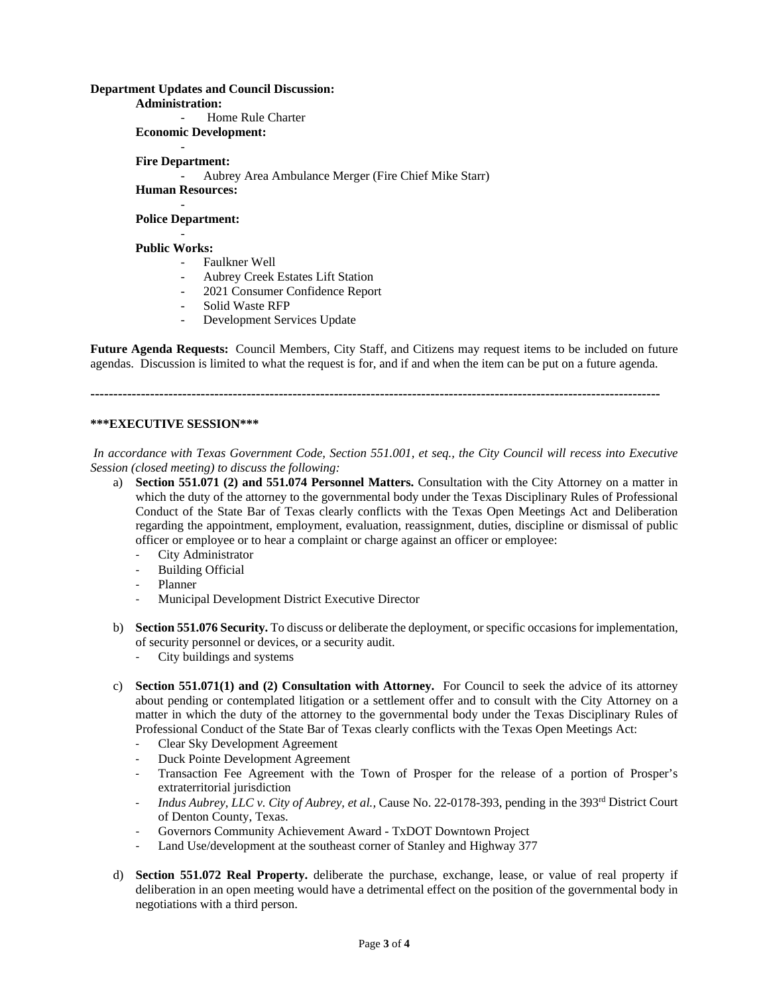### **Department Updates and Council Discussion:**

**Administration:**

Home Rule Charter **Economic Development:**

#### - **Fire Department:**

- Aubrey Area Ambulance Merger (Fire Chief Mike Starr) **Human Resources:**

- **Police Department:**

# -

### **Public Works:**

- Faulkner Well
- Aubrey Creek Estates Lift Station
- 2021 Consumer Confidence Report
- Solid Waste RFP
- Development Services Update

**Future Agenda Requests:** Council Members, City Staff, and Citizens may request items to be included on future agendas. Discussion is limited to what the request is for, and if and when the item can be put on a future agenda.

**----------------------------------------------------------------------------------------------------------------------------**

### **\*\*\*EXECUTIVE SESSION\*\*\***

*In accordance with Texas Government Code, Section 551.001, et seq., the City Council will recess into Executive Session (closed meeting) to discuss the following:*

- a) **Section 551.071 (2) and 551.074 Personnel Matters.** Consultation with the City Attorney on a matter in which the duty of the attorney to the governmental body under the Texas Disciplinary Rules of Professional Conduct of the State Bar of Texas clearly conflicts with the Texas Open Meetings Act and Deliberation regarding the appointment, employment, evaluation, reassignment, duties, discipline or dismissal of public officer or employee or to hear a complaint or charge against an officer or employee:
	- City Administrator
	- Building Official
	- Planner
	- Municipal Development District Executive Director
- b) **Section 551.076 Security.** To discuss or deliberate the deployment, or specific occasions for implementation, of security personnel or devices, or a security audit.
	- City buildings and systems
- c) **Section 551.071(1) and (2) Consultation with Attorney.** For Council to seek the advice of its attorney about pending or contemplated litigation or a settlement offer and to consult with the City Attorney on a matter in which the duty of the attorney to the governmental body under the Texas Disciplinary Rules of Professional Conduct of the State Bar of Texas clearly conflicts with the Texas Open Meetings Act:
	- Clear Sky Development Agreement
	- Duck Pointe Development Agreement
	- Transaction Fee Agreement with the Town of Prosper for the release of a portion of Prosper's extraterritorial jurisdiction
	- *Indus Aubrey, LLC v. City of Aubrey, et al.,* Cause No. 22-0178-393, pending in the 393rd District Court of Denton County, Texas.
	- Governors Community Achievement Award TxDOT Downtown Project
	- Land Use/development at the southeast corner of Stanley and Highway 377
- d) **Section 551.072 Real Property.** deliberate the purchase, exchange, lease, or value of real property if deliberation in an open meeting would have a detrimental effect on the position of the governmental body in negotiations with a third person.